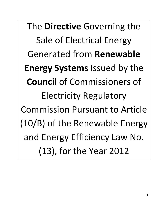The **Directive** Governing the Sale of Electrical Energy Generated from **Renewable Energy Systems** Issued by the **Council** of Commissioners of Electricity Regulatory Commission Pursuant to Article (10/B) of the Renewable Energy and Energy Efficiency Law No. (13), for the Year 2012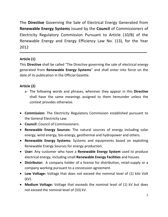The **Directive** Governing the Sale of Electrical Energy Generated from **Renewable Energy Systems** Issued by the **Council** of Commissioners of Electricity Regulatory Commission Pursuant to Article (10/B) of the Renewable Energy and Energy Efficiency Law No. (13), for the Year 2012

## **Article (1)**

This **Directive** shall be called "The Directive governing the sale of electrical energy generated from **Renewable Energy Systems**" and shall enter into force on the date of its publication in the Official Gazette.

# **Article (2)**

- a- The following words and phrases, wherever they appear in this **Directive** shall have the same meanings assigned to them hereunder unless the context provides otherwise.
- **Commission:** The Electricity Regulatory Commission established pursuant to the General Electricity Law.
- **Council:** Council of Commissioners.
- **Renewable Energy Sources:** The natural sources of energy including solar energy, wind energy, bio-energy, geothermal and hydropower and others.
- **Renewable Energy Systems:** Systems and equipments based on exploiting Renewable Energy Sources for energy production.
- **User:** Any customer who have a **Renewable Energy System** used to produce electrical energy, including small **Renewable Energy Facilities** and houses.
- **Distributor:** A company holder of a license for distribution, retail-supply or a company working pursuant to a concession agreement.
- **Low Voltage:** Voltage that does not exceed the nominal level of (1) kilo Volt (kV).
- **Medium Voltage:** Voltage that exceeds the nominal level of (1) kV but does not exceed the nominal level of (33) kV.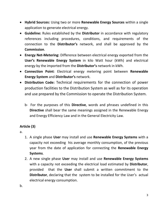- **Hybrid Sources:** Using two or more **Renewable Energy Sources** within a single application to generate electrical energy.
- **Guideline:** Rules established by the **Distributor** in accordance with regulatory references including procedures, conditions, and requirements of the connection to the **Distributor's** network, and shall be approved by the **Commission**.
- **Energy Net-Metering:** Difference between electrical energy exported from the **User's Renewable Energy System** in kilo Watt hour (kWh) and electrical energy by the imported from the **Distributor's** network in kWh.
- **Connection Point**: Electrical energy metering point between **Renewable Energy System** and **Distributor's** network.
- **Distribution Code:** Technical requirements for the connection of power production facilities to the Distribution System as well as for its operation and use prepared by the Commission to operate the Distribution System.
	- b- For the purposes of this **Directive**, words and phrases undefined in this **Directive** shall bear the same meanings assigned in the Renewable Energy and Energy Efficiency Law and in the General Electricity Law.

# **Article (3)**

a.

- 1. A single phase **User** may install and use **Renewable Energy Systems** with a capacity not exceeding his average monthly consumption, of the previous year from the date of application for connecting the **Renewable Energy Systems**.
- 2. A new single phase **User** may install and use **Renewable Energy Systems** with a capacity not exceeding the electrical load estimated by **Distributor**, provided that the **User** shall submit a written commitment to the **Distributor**, declaring that the system to be installed for the User's actual electrical energy consumption.

b.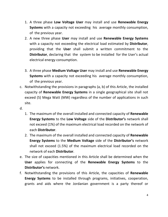- 1. A three phase **Low Voltage User** may install and use **Renewable Energy Systems** with a capacity not exceeding his average monthly consumption, of the previous year.
- 2. A new three phase **User** may install and use **Renewable Energy Systems** with a capacity not exceeding the electrical load estimated by **Distributor**, providing that the **User** shall submit a written commitment to the **Distributor**, declaring that the system to be installed for the User's actual electrical energy consumption.
- 3. A three phase **Medium Voltage User** may install and use **Renewable Energy Systems** with a capacity not exceeding his average monthly consumption, of the previous year.
- c. Notwithstanding the provisions in paragraphs (a, b) of this Article, the installed capacity of **Renewable Energy Systems** in a single geographical site shall not exceed (5) Mega Watt (MW) regardless of the number of applications in such site.
- d.
- 1. The maximum of the overall installed and connected capacity of **Renewable Energy Systems** to the **Low Voltage** side of the **Distributor's** network shall not exceed (1%) of the maximum electrical load recorded on the network of each **Distributor**.
- 2. The maximum of the overall installed and connected capacity of **Renewable Energy Systems** to the **Medium Voltage** side of the **Distributor's** network shall not exceed (1.5%) of the maximum electrical load recorded on the network of each **Distributor**.
- e. The size of capacities mentioned in this Article shall be determined when the **User** applies for connecting of the **Renewable Energy Systems** to the **Distributor's** network.
- f. Notwithstanding the provisions of this Article, the capacities of **Renewable Energy Systems** to be installed through programs, initiatives, cooperation, grants and aids where the Jordanian government is a party thereof or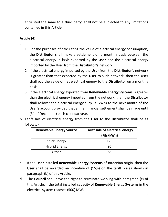entrusted the same to a third party, shall not be subjected to any limitations contained in this Article.

# **Article (4)**

a.

- 1. For the purposes of calculating the value of electrical energy consumption, the **Distributor** shall make a settlement on a monthly basis between the electrical energy in kWh exported by the **User** and the electrical energy imported by the **User** from the **Distributor's** network.
- 2. If the electrical energy imported by the **User** from the **Distributor's** network is greater than that exported by the **User** to such network, then the **User** shall pay the value of net electrical energy to the **Distributor** on a monthly basis.
- 3. If the electrical energy exported from **Renewable Energy Systems** is greater than the electrical energy imported from the network, then the **Distributor** shall rollover the electrical energy surplus (kWh) to the next month of the User's account provided that a final financial settlement shall be made until (31 of December) each calendar year.
- b. Tariff sale of electrical energy from the **User** to the **Distributor** shall be as follows: -

| <b>Renewable Energy Source</b> | <b>Tariff sale of electrical energy</b><br>(Fils/kWh) |
|--------------------------------|-------------------------------------------------------|
| <b>Solar Energy</b>            | 120                                                   |
| <b>Hybrid Energy</b>           | 95                                                    |
| Other                          | 85                                                    |

- c. If the **User** installed **Renewable Energy Systems** of Jordanian origin, then the **User** shall be awarded an incentive of (15%) on the tariff prices shown in paragraph (b) of this Article.
- d. The **Council** shall have the right to terminate working with paragraph (c) of this Article, if the total installed capacity of **Renewable Energy Systems** in the electrical system reaches (500) MW.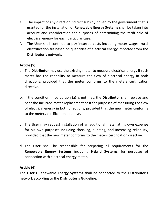- e. The impact of any direct or indirect subsidy driven by the government that is granted for the installation of **Renewable Energy Systems** shall be taken into account and consideration for purposes of determining the tariff sale of electrical energy for each particular case.
- f. The **User** shall continue to pay incurred costs including meter wages, rural electrification fils based on quantities of electrical energy imported from the **Distributor's** network.

## **Article (5)**

- a. The **Distributor** may use the existing meter to measure electrical energy if such meter has the capability to measure the flow of electrical energy in both directions, provided that the meter conforms to the meters certification directive.
- b. If the condition in paragraph (a) is not met, the **Distributor** shall replace and bear the incurred meter replacement cost for purposes of measuring the flow of electrical energy in both directions, provided that the new meter conforms to the meters certification directive.
- c. The **User** may request installation of an additional meter at his own expense for his own purposes including checking, auditing, and increasing reliability, provided that the new meter conforms to the meters certification directive.
- d. The **User** shall be responsible for preparing all requirements for the **Renewable Energy Systems** including **Hybrid Systems,** for purposes of connection with electrical energy meter.

### **Article (6)**

The **User's Renewable Energy Systems** shall be connected to the **Distributor's** network according to the **Distributor's Guideline**.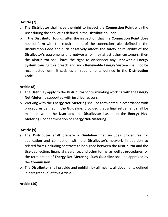## **Article (7)**

- a. **The Distributor** shall have the right to inspect the **Connection Point** with the **User** during the service as defined in the **Distribution Code**.
- b. If the **Distributor** founds after the inspection that the **Connection Point** does not conform with the requirements of the connection rules defined in the **Distribution Code** and such negatively affects the safety or reliability of the **Distributor's** equipments and networks, or may affect other customers, then the **Distributor** shall have the right to disconnect any **Renewable Energy System** causing this breach and such **Renewable Energy System** shall not be reconnected, until it satisfies all requirements defined in the **Distribution Code**.

### **Article (8)**

- a. The **User** may apply to the **Distributor** for terminating working with the **Energy Net-Metering** supported with justified reasons.
- b. Working with the **Energy Net-Metering** shall be terminated in accordance with procedures defined in the **Guideline**, provided that a final settlement shall be made between the **User** and the **Distributor** based on the **Energy Net-Metering** upon termination of **Energy Net-Metering**.

### **Article (9)**

- a. The **Distributor** shall prepare a **Guideline** that includes procedures for application and connection with the **Distributor's** network in addition to related forms including contracts to be signed between the **Distributor** and the **User**, collection, financial clearance, and other forms, as well as procedures for the termination of **Energy Net-Metering**. Such **Guideline** shall be approved by the **Commission**.
- b. The **Distributor** shall provide and publish, by all means, all documents defined in paragraph (a) of this Article.

**Article (10)**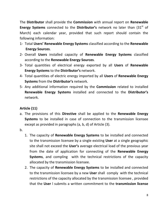The **Distributor** shall provide the **Commission** with annual report on **Renewable Energy Systems** connected to the **Distributor's** network no later than (31<sup>st</sup> of March) each calendar year, provided that such report should contain the following information:

- 1- Total **Users' Renewable Energy Systems** classified according to the **Renewable Energy Sources**.
- 2- Overall **Users** installed capacity of **Renewable Energy Systems** classified according to the **Renewable Energy Sources**.
- 3- Total quantities of electrical energy exported by all **Users** of **Renewable Energy Systems** to the **Distributor's** network.
- 4- Total quantities of electric energy imported by all **Users** of **Renewable Energy Systems** from the **Distributor's** network.
- 5- Any additional information required by the **Commission** related to installed **Renewable Energy Systems** installed and connected to the **Distributor's** network.

# **Article (11)**

- a. The provisions of this **Directive** shall be applied to the **Renewable Energy Systems** to be installed in case of connection to the transmission licensee except as provided in paragraphs (a, b, d) of Article (3).
- b.
- 1. The capacity of **Renewable Energy Systems** to be installed and connected to the transmission licensee by a single existing **User** at a single geographic site shall not exceed the **User's** average electrical load of the previous year from the date of application for connecting of the **Renewable Energy Systems**, and compling with the technical restrictions of the capacity allocated by the transmission licensee.
- 2. The capacity of **Renewable Energy Systems** to be installed and connected to the transmission licensee by a new **User** shall comply with the technical restrictions of the capacity allocated by the transmission licensee , provided that the **User** l submits a written commitment to the **transmission license**